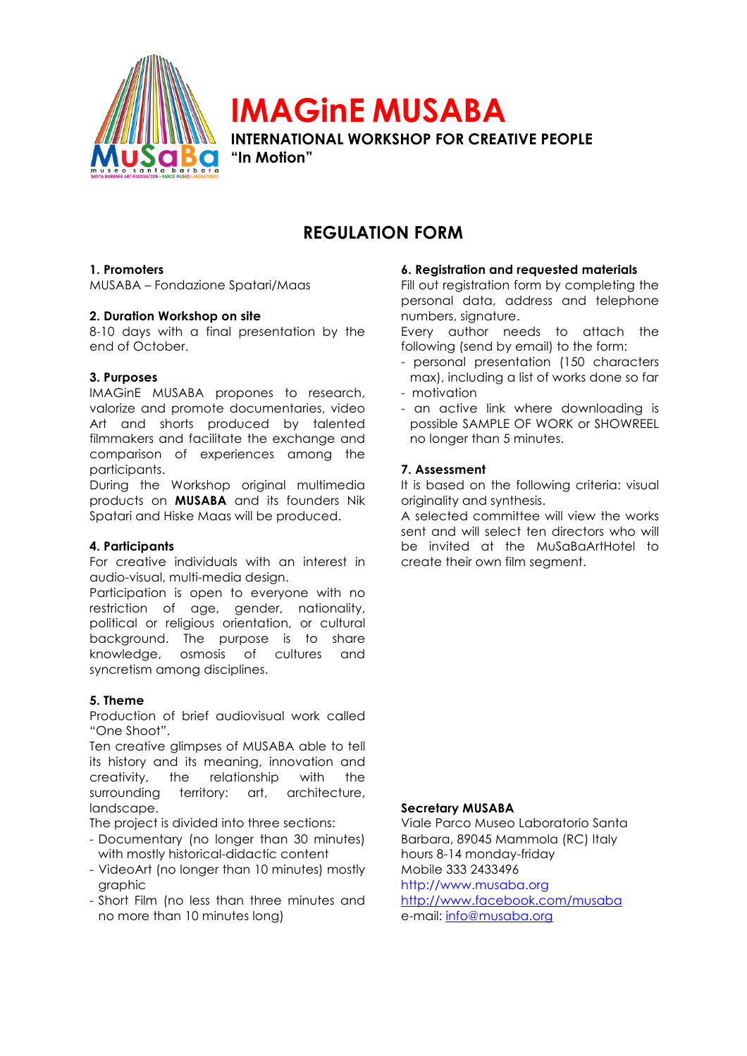

# **IMAGinE MUSABA INTERNATIONAL WORKSHOP FOR CREATIVE PEOPLE**

**"In Motion"**

# **REGULATION FORM**

### **1. Promoters**

MUSABA – Fondazione Spatari/Maas

### **2. Duration Workshop on site**

8-10 days with a final presentation by the end of October.

### **3. Purposes**

IMAGinE MUSABA propones to research, valorize and promote documentaries, video Art and shorts produced by talented filmmakers and facilitate the exchange and comparison of experiences among the participants.

During the Workshop original multimedia products on **MUSABA** and its founders Nik Spatari and Hiske Maas will be produced.

### **4. Participants**

For creative individuals with an interest in audio-visual, multi-media design.

Participation is open to everyone with no restriction of age, gender, nationality, political or religious orientation, or cultural background. The purpose is to share knowledge, osmosis of cultures and syncretism among disciplines.

### **5. Theme**

Production of brief audiovisual work called "One Shoot".

Ten creative glimpses of MUSABA able to tell its history and its meaning, innovation and creativity, the relationship with the surrounding territory: art, architecture, landscape.

The project is divided into three sections:

- Documentary (no longer than 30 minutes) with mostly historical-didactic content
- VideoArt (no longer than 10 minutes) mostly graphic
- Short Film (no less than three minutes and no more than 10 minutes long)

### **6. Registration and requested materials**

Fill out registration form by completing the personal data, address and telephone numbers, signature.

Every author needs to attach the following (send by email) to the form:

- personal presentation (150 characters max), including a list of works done so far
- motivation
- an active link where downloading is possible SAMPLE OF WORK or SHOWREEL no longer than 5 minutes.

### **7. Assessment**

It is based on the following criteria: visual originality and synthesis.

A selected committee will view the works sent and will select ten directors who will be invited at the MuSaBaArtHotel to create their own film segment.

#### **Secretary MUSABA**

Viale Parco Museo Laboratorio Santa Barbara, 89045 Mammola (RC) Italy hours 8-14 monday-friday Mobile 333 2433496 http://www.musaba.org http://www.facebook.com/musaba e-mail: info@musaba.org